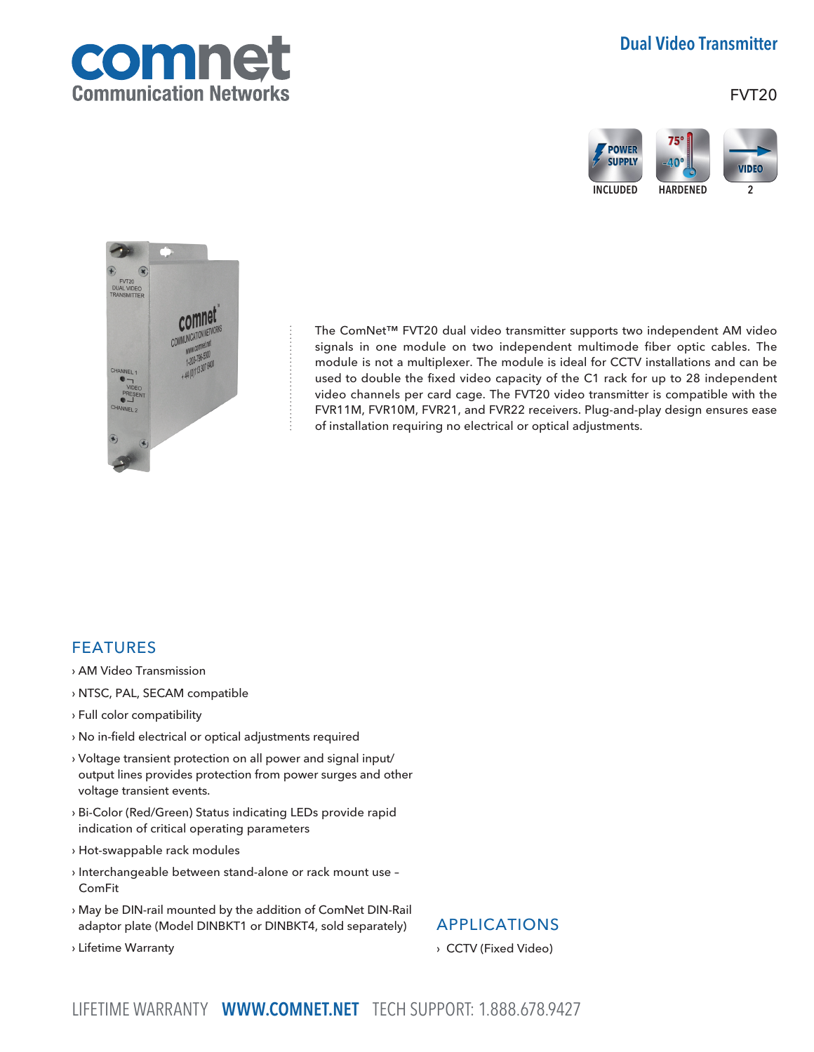

## Dual Video Transmitter

FVT20





The ComNet™ FVT20 dual video transmitter supports two independent AM video signals in one module on two independent multimode fiber optic cables. The module is not a multiplexer. The module is ideal for CCTV installations and can be used to double the fixed video capacity of the C1 rack for up to 28 independent video channels per card cage. The FVT20 video transmitter is compatible with the FVR11M, FVR10M, FVR21, and FVR22 receivers. Plug-and-play design ensures ease of installation requiring no electrical or optical adjustments.

### FEATURES

- › AM Video Transmission
- › NTSC, PAL, SECAM compatible
- › Full color compatibility
- › No in-field electrical or optical adjustments required
- › Voltage transient protection on all power and signal input/ output lines provides protection from power surges and other voltage transient events.
- › Bi-Color (Red/Green) Status indicating LEDs provide rapid indication of critical operating parameters
- › Hot-swappable rack modules
- › Interchangeable between stand-alone or rack mount use ComFit
- › May be DIN-rail mounted by the addition of ComNet DIN-Rail adaptor plate (Model DINBKT1 or DINBKT4, sold separately)

## APPLICATIONS

› CCTV (Fixed Video)

› Lifetime Warranty

LIFETIME WARRANTY WWW.COMNET.NET TECH SUPPORT: 1.888.678.9427